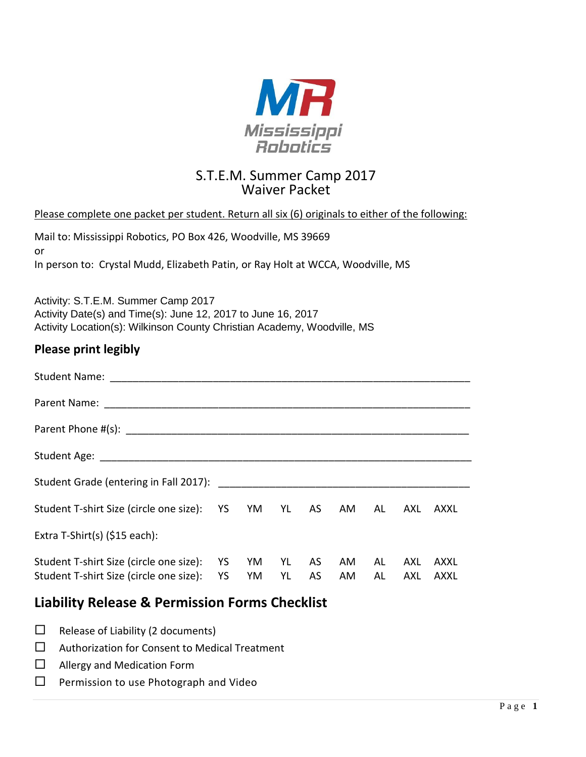

# S.T.E.M. Summer Camp 2017 Waiver Packet

## Please complete one packet per student. Return all six (6) originals to either of the following:

| Mail to: Mississippi Robotics, PO Box 426, Woodville, MS 39669                  |
|---------------------------------------------------------------------------------|
| .or                                                                             |
| In person to: Crystal Mudd, Elizabeth Patin, or Ray Holt at WCCA, Woodville, MS |

Activity: S.T.E.M. Summer Camp 2017 Activity Date(s) and Time(s): June 12, 2017 to June 16, 2017 Activity Location(s): Wilkinson County Christian Academy, Woodville, MS

## **Please print legibly**

| <b>Student Name:</b>                                                               |                 |          |          |          |           |          |            |              |
|------------------------------------------------------------------------------------|-----------------|----------|----------|----------|-----------|----------|------------|--------------|
|                                                                                    |                 |          |          |          |           |          |            |              |
|                                                                                    |                 |          |          |          |           |          |            |              |
|                                                                                    |                 |          |          |          |           |          |            |              |
|                                                                                    |                 |          |          |          |           |          |            |              |
| Student T-shirt Size (circle one size): YS YM YL AS                                |                 |          |          |          | AM        | AL       | AXL        | AXXL         |
| Extra T-Shirt(s) $(§15$ each):                                                     |                 |          |          |          |           |          |            |              |
| Student T-shirt Size (circle one size):<br>Student T-shirt Size (circle one size): | <b>YS</b><br>YS | YM<br>YM | YL<br>YL | AS<br>AS | AM.<br>AM | AL<br>AL | AXL<br>AXL | AXXL<br>AXXL |

# **Liability Release & Permission Forms Checklist**

|  | $\Box$ Release of Liability (2 documents) |
|--|-------------------------------------------|
|--|-------------------------------------------|

- $\square$  Authorization for Consent to Medical Treatment
- □ Allergy and Medication Form
- $\Box$  Permission to use Photograph and Video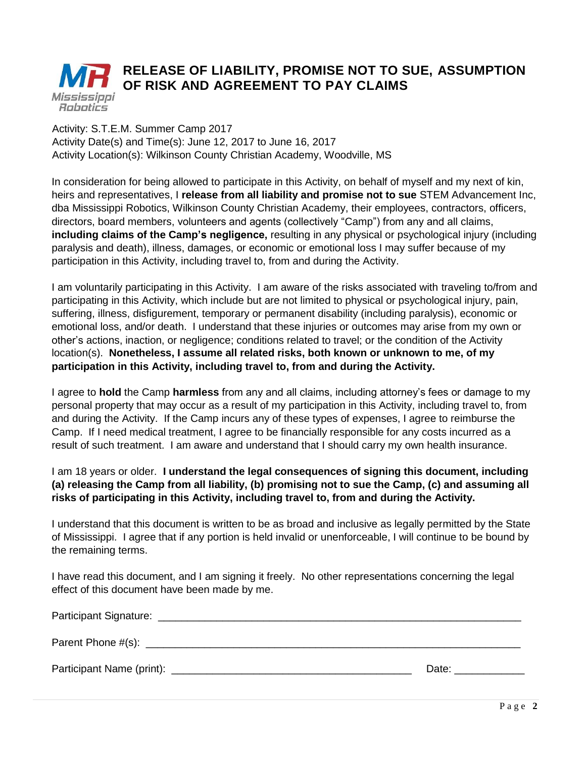#### **RELEASE OF LIABILITY, PROMISE NOT TO SUE, ASSUMPTION OF RISK AND AGREEMENT TO PAY CLAIMS** Mississippi **Robotics**

### Activity: S.T.E.M. Summer Camp 2017 Activity Date(s) and Time(s): June 12, 2017 to June 16, 2017 Activity Location(s): Wilkinson County Christian Academy, Woodville, MS

In consideration for being allowed to participate in this Activity, on behalf of myself and my next of kin, heirs and representatives, I **release from all liability and promise not to sue** STEM Advancement Inc, dba Mississippi Robotics, Wilkinson County Christian Academy, their employees, contractors, officers, directors, board members, volunteers and agents (collectively "Camp") from any and all claims, **including claims of the Camp's negligence,** resulting in any physical or psychological injury (including paralysis and death), illness, damages, or economic or emotional loss I may suffer because of my participation in this Activity, including travel to, from and during the Activity.

I am voluntarily participating in this Activity. I am aware of the risks associated with traveling to/from and participating in this Activity, which include but are not limited to physical or psychological injury, pain, suffering, illness, disfigurement, temporary or permanent disability (including paralysis), economic or emotional loss, and/or death. I understand that these injuries or outcomes may arise from my own or other's actions, inaction, or negligence; conditions related to travel; or the condition of the Activity location(s). **Nonetheless, I assume all related risks, both known or unknown to me, of my participation in this Activity, including travel to, from and during the Activity.**

I agree to **hold** the Camp **harmless** from any and all claims, including attorney's fees or damage to my personal property that may occur as a result of my participation in this Activity, including travel to, from and during the Activity. If the Camp incurs any of these types of expenses, I agree to reimburse the Camp. If I need medical treatment, I agree to be financially responsible for any costs incurred as a result of such treatment. I am aware and understand that I should carry my own health insurance.

## I am 18 years or older. **I understand the legal consequences of signing this document, including (a) releasing the Camp from all liability, (b) promising not to sue the Camp, (c) and assuming all risks of participating in this Activity, including travel to, from and during the Activity.**

I understand that this document is written to be as broad and inclusive as legally permitted by the State of Mississippi. I agree that if any portion is held invalid or unenforceable, I will continue to be bound by the remaining terms.

I have read this document, and I am signing it freely. No other representations concerning the legal effect of this document have been made by me.

| <b>Participant Signature:</b> |       |
|-------------------------------|-------|
| Parent Phone #(s): _____      |       |
| Participant Name (print):     | Date: |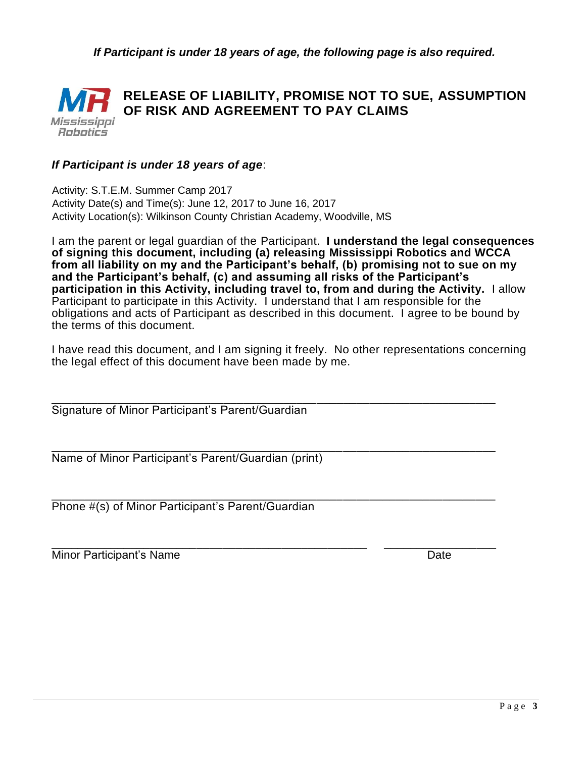*If Participant is under 18 years of age, the following page is also required.*



## *If Participant is under 18 years of age*:

 Activity: S.T.E.M. Summer Camp 2017 Activity Date(s) and Time(s): June 12, 2017 to June 16, 2017 Activity Location(s): Wilkinson County Christian Academy, Woodville, MS

I am the parent or legal guardian of the Participant. **I understand the legal consequences of signing this document, including (a) releasing Mississippi Robotics and WCCA from all liability on my and the Participant's behalf, (b) promising not to sue on my and the Participant's behalf, (c) and assuming all risks of the Participant's participation in this Activity, including travel to, from and during the Activity.** I allow Participant to participate in this Activity. I understand that I am responsible for the obligations and acts of Participant as described in this document. I agree to be bound by the terms of this document.

I have read this document, and I am signing it freely. No other representations concerning the legal effect of this document have been made by me.

\_\_\_\_\_\_\_\_\_\_\_\_\_\_\_\_\_\_\_\_\_\_\_\_\_\_\_\_\_\_\_\_\_\_\_\_\_\_\_\_\_\_\_\_\_\_\_\_\_\_\_\_\_\_\_\_\_\_\_\_\_\_\_\_\_\_\_ Signature of Minor Participant's Parent/Guardian

\_\_\_\_\_\_\_\_\_\_\_\_\_\_\_\_\_\_\_\_\_\_\_\_\_\_\_\_\_\_\_\_\_\_\_\_\_\_\_\_\_\_\_\_\_\_\_\_\_\_\_\_\_\_\_\_\_\_\_\_\_\_\_\_\_\_\_ Name of Minor Participant's Parent/Guardian (print)

\_\_\_\_\_\_\_\_\_\_\_\_\_\_\_\_\_\_\_\_\_\_\_\_\_\_\_\_\_\_\_\_\_\_\_\_\_\_\_\_\_\_\_\_\_\_\_\_\_\_\_\_\_\_\_\_\_\_\_\_\_\_\_\_\_\_\_ Phone #(s) of Minor Participant's Parent/Guardian

\_\_\_\_\_\_\_\_\_\_\_\_\_\_\_\_\_\_\_\_\_\_\_\_\_\_\_\_\_\_\_\_\_\_\_\_\_\_\_\_\_\_\_\_\_\_\_\_ \_\_\_\_\_\_\_\_\_\_\_\_\_\_\_\_\_ Minor Participant's Name Date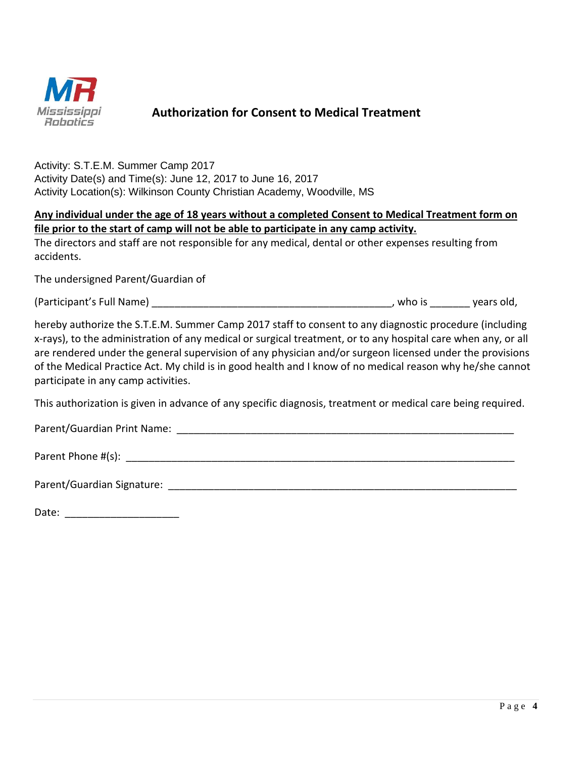

## **Authorization for Consent to Medical Treatment**

Activity: S.T.E.M. Summer Camp 2017 Activity Date(s) and Time(s): June 12, 2017 to June 16, 2017 Activity Location(s): Wilkinson County Christian Academy, Woodville, MS

|  |  |  |                                                                                       | Any individual under the age of 18 years without a completed Consent to Medical Treatment form on |  |
|--|--|--|---------------------------------------------------------------------------------------|---------------------------------------------------------------------------------------------------|--|
|  |  |  | file prior to the start of camp will not be able to participate in any camp activity. |                                                                                                   |  |

The directors and staff are not responsible for any medical, dental or other expenses resulting from accidents.

The undersigned Parent/Guardian of

(Participant's Full Name) \_\_\_\_\_\_\_\_\_\_\_\_\_\_\_\_\_\_\_\_\_\_\_\_\_\_\_\_\_\_\_\_\_\_\_\_\_\_\_\_\_\_, who is \_\_\_\_\_\_\_ years old,

hereby authorize the S.T.E.M. Summer Camp 2017 staff to consent to any diagnostic procedure (including x‐rays), to the administration of any medical or surgical treatment, or to any hospital care when any, or all are rendered under the general supervision of any physician and/or surgeon licensed under the provisions of the Medical Practice Act. My child is in good health and I know of no medical reason why he/she cannot participate in any camp activities.

This authorization is given in advance of any specific diagnosis, treatment or medical care being required.

Parent/Guardian Print Name: \_\_\_\_\_\_\_\_\_\_\_\_\_\_\_\_\_\_\_\_\_\_\_\_\_\_\_\_\_\_\_\_\_\_\_\_\_\_\_\_\_\_\_\_\_\_\_\_\_\_\_\_\_\_\_\_\_\_\_

Parent Phone #(s): \_\_\_\_\_\_\_\_\_\_\_\_\_\_\_\_\_\_\_\_\_\_\_\_\_\_\_\_\_\_\_\_\_\_\_\_\_\_\_\_\_\_\_\_\_\_\_\_\_\_\_\_\_\_\_\_\_\_\_\_\_\_\_\_\_\_\_\_

Parent/Guardian Signature: \_\_\_\_\_\_\_\_\_\_\_\_\_\_\_\_\_\_\_\_\_\_\_\_\_\_\_\_\_\_\_\_\_\_\_\_\_\_\_\_\_\_\_\_\_\_\_\_\_\_\_\_\_\_\_\_\_\_\_\_\_

| Date: |  |
|-------|--|
|       |  |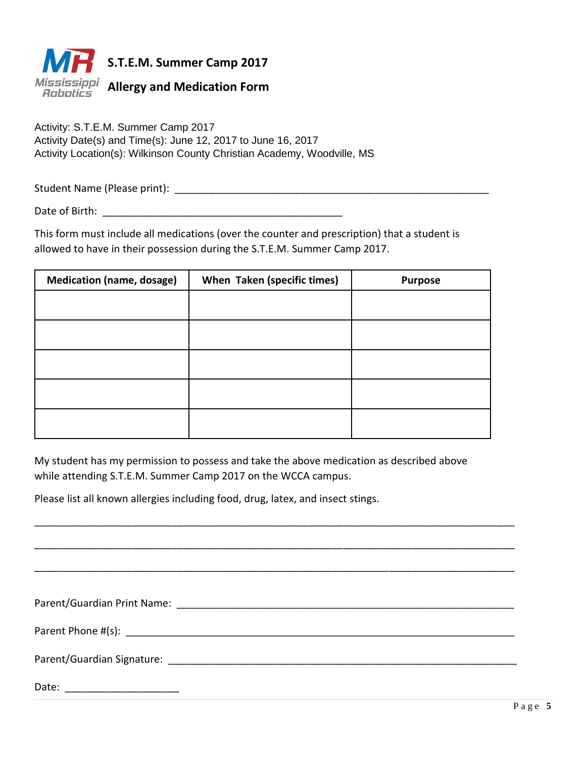

Activity: S.T.E.M. Summer Camp 2017 Activity Date(s) and Time(s): June 12, 2017 to June 16, 2017 Activity Location(s): Wilkinson County Christian Academy, Woodville, MS

Student Name (Please print): \_\_\_\_\_\_\_\_\_\_\_\_\_\_\_\_\_\_\_\_\_\_\_\_\_\_\_\_\_\_\_\_\_\_\_\_\_\_\_\_\_\_\_\_\_\_\_\_\_\_\_\_\_\_\_

Date of Birth:  $\Box$ 

This form must include all medications (over the counter and prescription) that a student is allowed to have in their possession during the S.T.E.M. Summer Camp 2017.

| <b>Medication (name, dosage)</b> | When Taken (specific times) | <b>Purpose</b> |
|----------------------------------|-----------------------------|----------------|
|                                  |                             |                |
|                                  |                             |                |
|                                  |                             |                |
|                                  |                             |                |
|                                  |                             |                |

My student has my permission to possess and take the above medication as described above while attending S.T.E.M. Summer Camp 2017 on the WCCA campus.

Please list all known allergies including food, drug, latex, and insect stings.

| Date: |
|-------|

\_\_\_\_\_\_\_\_\_\_\_\_\_\_\_\_\_\_\_\_\_\_\_\_\_\_\_\_\_\_\_\_\_\_\_\_\_\_\_\_\_\_\_\_\_\_\_\_\_\_\_\_\_\_\_\_\_\_\_\_\_\_\_\_\_\_\_\_\_\_\_\_\_\_\_\_\_\_\_\_\_\_\_\_

\_\_\_\_\_\_\_\_\_\_\_\_\_\_\_\_\_\_\_\_\_\_\_\_\_\_\_\_\_\_\_\_\_\_\_\_\_\_\_\_\_\_\_\_\_\_\_\_\_\_\_\_\_\_\_\_\_\_\_\_\_\_\_\_\_\_\_\_\_\_\_\_\_\_\_\_\_\_\_\_\_\_\_\_